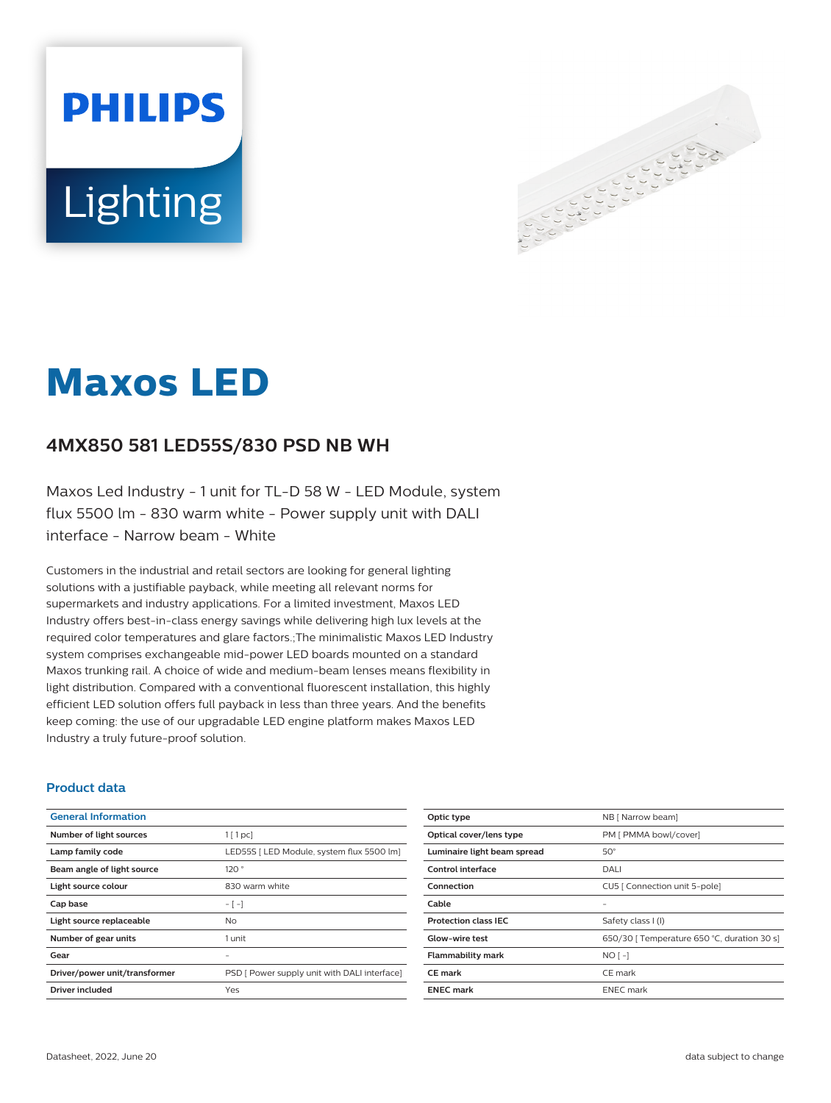



# **Maxos LED**

## **4MX850 581 LED55S/830 PSD NB WH**

Maxos Led Industry - 1 unit for TL-D 58 W - LED Module, system flux 5500 lm - 830 warm white - Power supply unit with DALI interface - Narrow beam - White

Customers in the industrial and retail sectors are looking for general lighting solutions with a justifiable payback, while meeting all relevant norms for supermarkets and industry applications. For a limited investment, Maxos LED Industry offers best-in-class energy savings while delivering high lux levels at the required color temperatures and glare factors.;The minimalistic Maxos LED Industry system comprises exchangeable mid-power LED boards mounted on a standard Maxos trunking rail. A choice of wide and medium-beam lenses means flexibility in light distribution. Compared with a conventional fluorescent installation, this highly efficient LED solution offers full payback in less than three years. And the benefits keep coming: the use of our upgradable LED engine platform makes Maxos LED Industry a truly future-proof solution.

#### **Product data**

| <b>General Information</b>    |                                              |
|-------------------------------|----------------------------------------------|
| Number of light sources       | $1$ [ 1 pc]                                  |
| Lamp family code              | LED55S   LED Module, system flux 5500 lm]    |
| Beam angle of light source    | 120°                                         |
| Light source colour           | 830 warm white                               |
| Cap base                      | $-[-]$                                       |
| Light source replaceable      | No.                                          |
| Number of gear units          | 1 unit                                       |
| Gear                          |                                              |
| Driver/power unit/transformer | PSD [ Power supply unit with DALI interface] |
| Driver included               | Yes                                          |

| Optic type                  | NB [ Narrow beam]                           |
|-----------------------------|---------------------------------------------|
| Optical cover/lens type     | PM [ PMMA bowl/cover]                       |
| Luminaire light beam spread | $50^\circ$                                  |
| Control interface           | DALI                                        |
| Connection                  | CU5   Connection unit 5-pole]               |
| Cable                       |                                             |
| <b>Protection class IEC</b> | Safety class I (I)                          |
| Glow-wire test              | 650/30   Temperature 650 °C, duration 30 s] |
| <b>Flammability mark</b>    | $NO[-]$                                     |
| <b>CE</b> mark              | CE mark                                     |
| <b>ENEC mark</b>            | <b>ENEC</b> mark                            |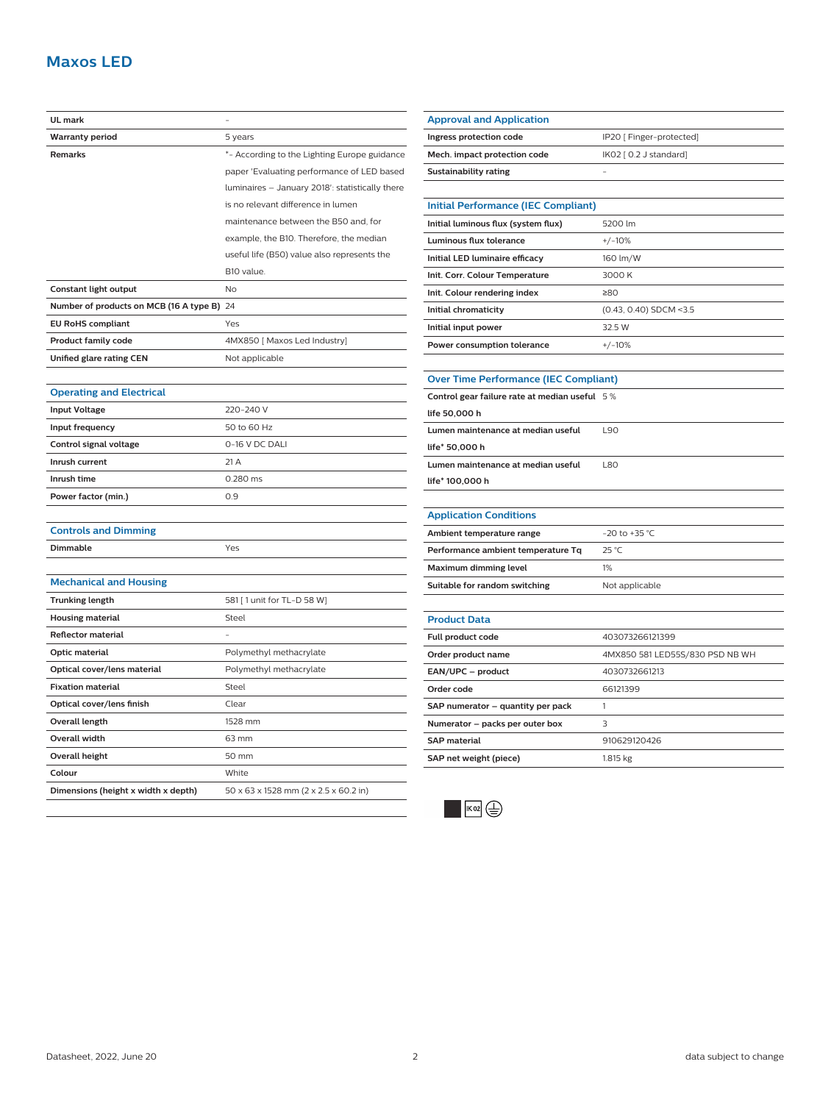## **Maxos LED**

| UL mark                                    |                                                 |
|--------------------------------------------|-------------------------------------------------|
| <b>Warranty period</b>                     | 5 years                                         |
| Remarks                                    | *- According to the Lighting Europe guidance    |
|                                            | paper 'Evaluating performance of LED based      |
|                                            | luminaires - January 2018': statistically there |
|                                            | is no relevant difference in lumen              |
|                                            | maintenance between the B50 and, for            |
|                                            | example, the B10. Therefore, the median         |
|                                            | useful life (B50) value also represents the     |
|                                            | B10 value.                                      |
| Constant light output                      | No                                              |
| Number of products on MCB (16 A type B) 24 |                                                 |
| <b>EU RoHS compliant</b>                   | Yes                                             |
| <b>Product family code</b>                 | 4MX850 [ Maxos Led Industry]                    |
| Unified glare rating CEN                   | Not applicable                                  |
|                                            |                                                 |
| <b>Operating and Electrical</b>            |                                                 |
| <b>Input Voltage</b>                       | 220-240 V                                       |
| Input frequency                            | 50 to 60 Hz                                     |
| Control signal voltage                     | 0-16 V DC DALI                                  |
| Inrush current                             | 21 A                                            |
| Inrush time                                | 0.280 ms                                        |
| Power factor (min.)                        | 0.9                                             |
|                                            |                                                 |
| <b>Controls and Dimming</b>                |                                                 |
| <b>Dimmable</b>                            | Yes                                             |
|                                            |                                                 |
| <b>Mechanical and Housing</b>              |                                                 |
| <b>Trunking length</b>                     | 581 [ 1 unit for TL-D 58 W]                     |
| <b>Housing material</b>                    | Steel                                           |
| <b>Reflector material</b>                  |                                                 |
| Optic material                             | Polymethyl methacrylate                         |
| Optical cover/lens material                | Polymethyl methacrylate                         |
| <b>Fixation material</b>                   | Steel                                           |
| Optical cover/lens finish                  | Clear                                           |
| Overall length                             | 1528 mm                                         |
| Overall width                              | 63 mm                                           |
| <b>Overall height</b>                      | 50 mm                                           |
| Colour                                     | White                                           |
| Dimensions (height x width x depth)        | 50 x 63 x 1528 mm (2 x 2.5 x 60.2 in)           |
|                                            |                                                 |

| Approval and Application                      |                                 |
|-----------------------------------------------|---------------------------------|
| Ingress protection code                       | IP20 [ Finger-protected]        |
| Mech. impact protection code                  | IK02 [ 0.2 J standard]          |
| <b>Sustainability rating</b>                  |                                 |
|                                               |                                 |
| <b>Initial Performance (IEC Compliant)</b>    |                                 |
| Initial luminous flux (system flux)           | 5200 lm                         |
| Luminous flux tolerance                       | $+/-10%$                        |
| Initial LED luminaire efficacy                | 160 lm/W                        |
| Init. Corr. Colour Temperature                | 3000 K                          |
| Init. Colour rendering index                  | ≥80                             |
| Initial chromaticity                          | (0.43, 0.40) SDCM <3.5          |
| Initial input power                           | 32.5 W                          |
| Power consumption tolerance                   | $+/-10%$                        |
|                                               |                                 |
| <b>Over Time Performance (IEC Compliant)</b>  |                                 |
| Control gear failure rate at median useful 5% |                                 |
| life 50,000 h                                 |                                 |
| Lumen maintenance at median useful            | L90                             |
| life* 50,000 h                                |                                 |
| Lumen maintenance at median useful            | <b>L80</b>                      |
| life* 100,000 h                               |                                 |
|                                               |                                 |
| <b>Application Conditions</b>                 |                                 |
| Ambient temperature range                     | -20 to +35 °C                   |
| Performance ambient temperature Tq            | 25 °C                           |
| <b>Maximum dimming level</b>                  | 1%                              |
| Suitable for random switching                 | Not applicable                  |
|                                               |                                 |
| <b>Product Data</b>                           |                                 |
| Full product code                             | 403073266121399                 |
| Order product name                            | 4MX850 581 LED55S/830 PSD NB WH |
| EAN/UPC - product                             | 4030732661213                   |
| Order code                                    | 66121399                        |
| SAP numerator - quantity per pack             | 1                               |
| Numerator - packs per outer box               | 3                               |
| <b>SAP</b> material                           | 910629120426                    |
| SAP net weight (piece)                        | 1.815 kg                        |
|                                               |                                 |